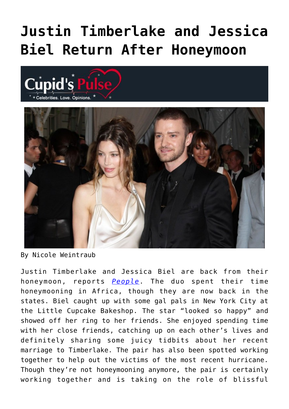## **[Justin Timberlake and Jessica](https://cupidspulse.com/41124/justin-timberlake-jessica-biel-return-after-honeymoon/) [Biel Return After Honeymoon](https://cupidspulse.com/41124/justin-timberlake-jessica-biel-return-after-honeymoon/)**





By Nicole Weintraub

Justin Timberlake and Jessica Biel are back from their honeymoon, reports *[People](http://www.people.com/people/article/0,,20647034,00.html)*. The duo spent their time honeymooning in Africa, though they are now back in the states. Biel caught up with some gal pals in New York City at the Little Cupcake Bakeshop. The star "looked so happy" and showed off her ring to her friends. She enjoyed spending time with her close friends, catching up on each other's lives and definitely sharing some juicy tidbits about her recent marriage to Timberlake. The pair has also been spotted working together to help out the victims of the most recent hurricane. Though they're not honeymooning anymore, the pair is certainly working together and is taking on the role of blissful